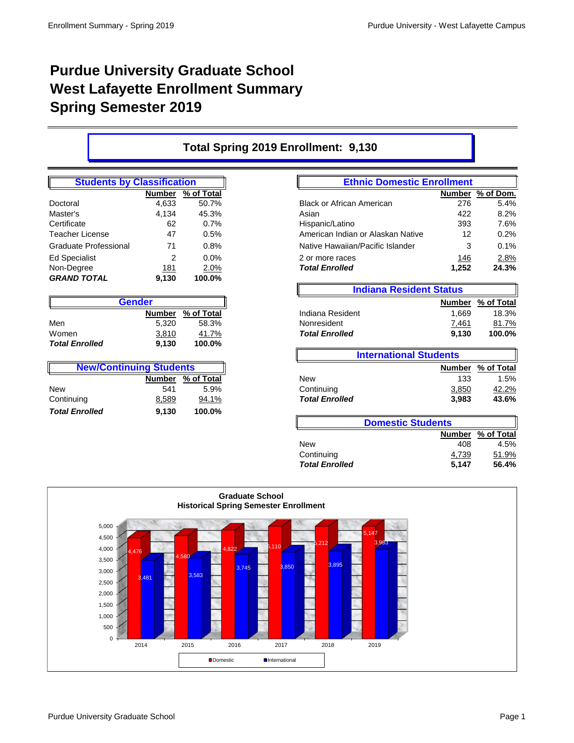## **Purdue University Graduate School West Lafayette Enrollment Summary Spring Semester 2019**

## **Total Spring 2019 Enrollment: 9,130**

| <b>Students by Classification</b> |               |            |  |  |  |  |
|-----------------------------------|---------------|------------|--|--|--|--|
|                                   | <b>Number</b> | % of Total |  |  |  |  |
| Doctoral                          | 4,633         | 50.7%      |  |  |  |  |
| Master's                          | 4,134         | 45.3%      |  |  |  |  |
| Certificate                       | 62            | 0.7%       |  |  |  |  |
| Teacher License                   | 47            | 0.5%       |  |  |  |  |
| Graduate Professional             | 71            | 0.8%       |  |  |  |  |
| <b>Ed Specialist</b>              | 2             | $0.0\%$    |  |  |  |  |
| Non-Degree                        | 181           | 2.0%       |  |  |  |  |
| <b>GRAND TOTAL</b>                | 9,130         | 100.0%     |  |  |  |  |

| <b>Gender</b>               |       |        |  |  |  |  |  |
|-----------------------------|-------|--------|--|--|--|--|--|
| % of Total<br><b>Number</b> |       |        |  |  |  |  |  |
| Men                         | 5.320 | 58.3%  |  |  |  |  |  |
| Women                       | 3,810 | 41.7%  |  |  |  |  |  |
| <b>Total Enrolled</b>       | 9.130 | 100.0% |  |  |  |  |  |

| <b>New/Continuing Students</b> |       |        |  |  |  |  |  |
|--------------------------------|-------|--------|--|--|--|--|--|
| Number % of Total              |       |        |  |  |  |  |  |
| <b>New</b>                     | 541   | 5.9%   |  |  |  |  |  |
| Continuing                     | 8,589 | 94.1%  |  |  |  |  |  |
| <b>Total Enrolled</b>          | 9,130 | 100.0% |  |  |  |  |  |

| <b>Students by Classification</b> |               | <b>Ethnic Domestic Enrollment</b> |                                   |               |           |
|-----------------------------------|---------------|-----------------------------------|-----------------------------------|---------------|-----------|
|                                   | <b>Number</b> | % of Total                        |                                   | <b>Number</b> | % of Dom. |
| Doctoral                          | 4.633         | 50.7%                             | <b>Black or African American</b>  | 276           | 5.4%      |
| Master's                          | 4.134         | 45.3%                             | Asian                             | 422           | 8.2%      |
| Certificate                       | 62            | $0.7\%$                           | Hispanic/Latino                   | 393           | 7.6%      |
| Teacher License                   | 47            | 0.5%                              | American Indian or Alaskan Native | 12            | 0.2%      |
| <b>Graduate Professional</b>      | 71            | 0.8%                              | Native Hawaiian/Pacific Islander  | 3             | 0.1%      |
| <b>Ed Specialist</b>              | 2             | $0.0\%$                           | 2 or more races                   | 146           | 2.8%      |
| Non-Degree                        | 181           | 2.0%                              | <b>Total Enrolled</b>             | 1,252         | 24.3%     |

|       |               |            | <b>Indiana Resident Status</b> |               |              |
|-------|---------------|------------|--------------------------------|---------------|--------------|
|       | <b>Gender</b> |            |                                | <b>Number</b> | % of Total   |
|       | <b>Number</b> | % of Total | Indiana Resident               | .669          | 18.3%        |
| Men   | 5.320         | 58.3%      | Nonresident                    | 7,461         | <u>81.7%</u> |
| Women | 3,810         | 41.7%      | <b>Total Enrolled</b>          | 9.130         | 100.0%       |

|            |                                |            |                       | <b>International Students</b> |              |
|------------|--------------------------------|------------|-----------------------|-------------------------------|--------------|
|            | <b>New/Continuing Students</b> |            |                       | <b>Number</b>                 | % of Total   |
|            | Number                         | % of Total | <b>New</b>            | 133                           | 1.5%         |
| New        | 541                            | 5.9%       | Continuing            | 3,850                         | <u>42.2%</u> |
| Continuing | 8,589                          | 94.1%      | <b>Total Enrolled</b> | 3,983                         | 43.6%        |

| <b>Domestic Students</b> |                   |       |  |  |  |  |  |
|--------------------------|-------------------|-------|--|--|--|--|--|
|                          | Number % of Total |       |  |  |  |  |  |
| <b>New</b>               | 408               | 4.5%  |  |  |  |  |  |
| Continuing               | 4,739             | 51.9% |  |  |  |  |  |
| <b>Total Enrolled</b>    | 5.147             | 56.4% |  |  |  |  |  |

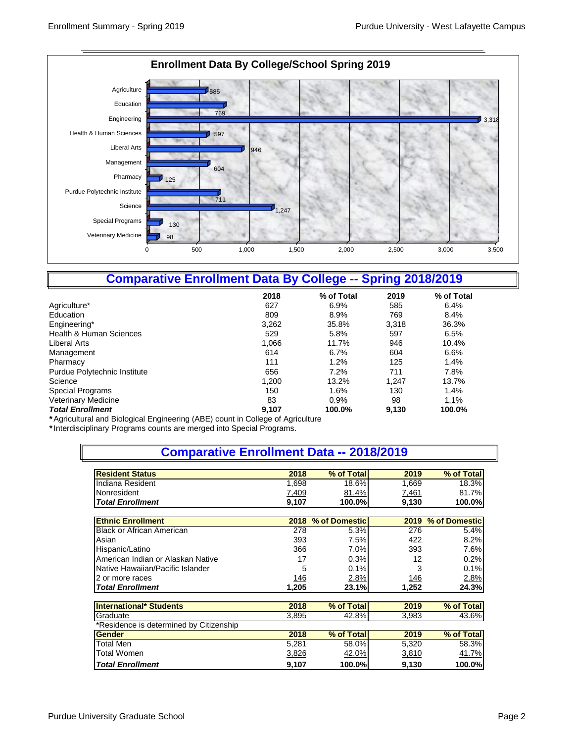

## **Comparative Enrollment Data By College -- Spring 2018/2019**

|                              | 2018  | % of Total | 2019           | % of Total |
|------------------------------|-------|------------|----------------|------------|
| Agriculture*                 | 627   | 6.9%       | 585            | 6.4%       |
| Education                    | 809   | 8.9%       | 769            | 8.4%       |
| Engineering*                 | 3,262 | 35.8%      | 3,318          | 36.3%      |
| Health & Human Sciences      | 529   | 5.8%       | 597            | 6.5%       |
| Liberal Arts                 | 1,066 | 11.7%      | 946            | 10.4%      |
| Management                   | 614   | 6.7%       | 604            | 6.6%       |
| Pharmacy                     | 111   | 1.2%       | 125            | 1.4%       |
| Purdue Polytechnic Institute | 656   | 7.2%       | 711            | 7.8%       |
| Science                      | 1,200 | 13.2%      | 1,247          | 13.7%      |
| Special Programs             | 150   | 1.6%       | 130            | 1.4%       |
| <b>Veterinary Medicine</b>   | 83    | 0.9%       | $\frac{98}{1}$ | 1.1%       |
| <b>Total Enrollment</b>      | 9,107 | 100.0%     | 9,130          | 100.0%     |

*\** Agricultural and Biological Engineering (ABE) count in College of Agriculture

*\**Interdisciplinary Programs counts are merged into Special Programs.

| <b>Comparative Enrollment Data -- 2018/2019</b> |             |               |             |               |  |  |  |
|-------------------------------------------------|-------------|---------------|-------------|---------------|--|--|--|
|                                                 |             |               |             |               |  |  |  |
| <b>Resident Status</b>                          | 2018        | % of Total    | 2019        | % of Total    |  |  |  |
| Indiana Resident                                | 1,698       | 18.6%         | 1,669       | 18.3%         |  |  |  |
| Nonresident                                     | 7,409       | 81.4%         | 7,461       | 81.7%         |  |  |  |
| <b>Total Enrollment</b>                         | 9,107       | 100.0%        | 9,130       | 100.0%        |  |  |  |
| <b>Ethnic Enrollment</b>                        | 2018        | % of Domestic | 2019        | % of Domestic |  |  |  |
| <b>Black or African American</b>                | 278         | 5.3%          | 276         | 5.4%          |  |  |  |
| Asian                                           | 393         | 7.5%          | 422         |               |  |  |  |
|                                                 |             |               |             | 8.2%          |  |  |  |
| Hispanic/Latino                                 | 366         | 7.0%          | 393         | 7.6%          |  |  |  |
| American Indian or Alaskan Native               | 17          | 0.3%          | 12          | 0.2%          |  |  |  |
| Native Hawaiian/Pacific Islander                | 5           | 0.1%          | 3           | 0.1%          |  |  |  |
| 2 or more races                                 | <u> 146</u> | 2.8%          | <u> 146</u> | 2.8%          |  |  |  |
| <b>Total Enrollment</b>                         | 1,205       | 23.1%         | 1,252       | 24.3%         |  |  |  |
| <b>International* Students</b>                  | 2018        | % of Total    | 2019        | % of Total    |  |  |  |
|                                                 |             |               |             |               |  |  |  |
| Graduate                                        | 3,895       | 42.8%         | 3,983       | 43.6%         |  |  |  |
| *Residence is determined by Citizenship         |             |               |             |               |  |  |  |
| <b>Gender</b>                                   | 2018        | % of Total    | 2019        | % of Total    |  |  |  |
| Total Men                                       | 5,281       | 58.0%         | 5,320       | 58.3%         |  |  |  |
| Total Women                                     | 3,826       | 42.0%         | 3,810       | 41.7%         |  |  |  |
| <b>Total Enrollment</b>                         | 9,107       | 100.0%        | 9,130       | 100.0%        |  |  |  |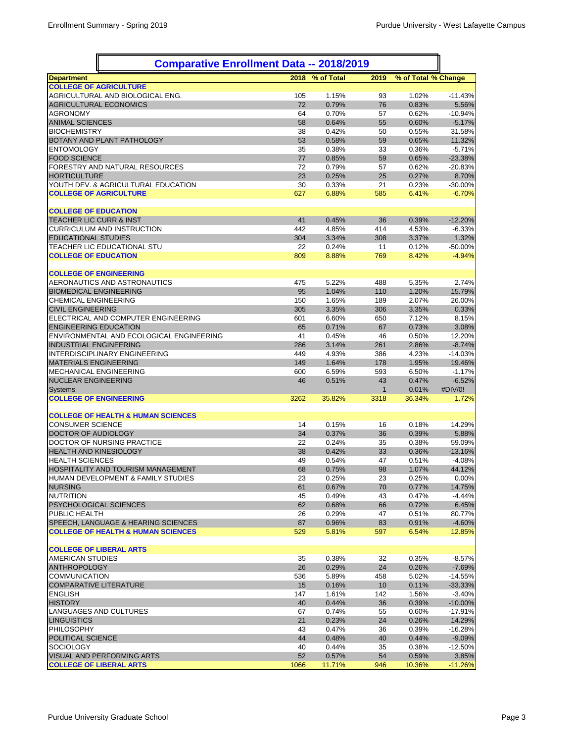| <b>Comparative Enrollment Data -- 2018/2019</b>                      |           |                |            |                     |                       |
|----------------------------------------------------------------------|-----------|----------------|------------|---------------------|-----------------------|
| <b>IDepartment</b>                                                   | 2018      | % of Total     | 2019       | % of Total % Change |                       |
| <b>COLLEGE OF AGRICULTURE</b>                                        |           |                |            |                     |                       |
| AGRICULTURAL AND BIOLOGICAL ENG.                                     | 105       | 1.15%          | 93         | 1.02%               | $-11.43%$             |
| <b>AGRICULTURAL ECONOMICS</b>                                        | 72        | 0.79%          | 76         | 0.83%               | 5.56%                 |
| <b>AGRONOMY</b>                                                      | 64        | 0.70%          | 57         | 0.62%               | $-10.94%$             |
| <b>ANIMAL SCIENCES</b>                                               | 58        | 0.64%          | 55         | 0.60%               | $-5.17%$              |
| <b>BIOCHEMISTRY</b><br><b>BOTANY AND PLANT PATHOLOGY</b>             | 38<br>53  | 0.42%<br>0.58% | 50<br>59   | 0.55%<br>0.65%      | 31.58%                |
| <b>ENTOMOLOGY</b>                                                    | 35        | 0.38%          | 33         | 0.36%               | 11.32%<br>$-5.71%$    |
| <b>FOOD SCIENCE</b>                                                  | 77        | 0.85%          | 59         | 0.65%               | $-23.38%$             |
| FORESTRY AND NATURAL RESOURCES                                       | 72        | 0.79%          | 57         | 0.62%               | $-20.83%$             |
| <b>HORTICULTURE</b>                                                  | 23        | 0.25%          | 25         | 0.27%               | 8.70%                 |
| YOUTH DEV. & AGRICULTURAL EDUCATION                                  | 30        | 0.33%          | 21         | 0.23%               | $-30.00%$             |
| <b>COLLEGE OF AGRICULTURE</b>                                        | 627       | 6.88%          | 585        | 6.41%               | $-6.70%$              |
|                                                                      |           |                |            |                     |                       |
| <b>COLLEGE OF EDUCATION</b>                                          |           |                |            |                     |                       |
| <b>TEACHER LIC CURR &amp; INST</b>                                   | 41        | 0.45%          | 36         | 0.39%               | $-12.20%$             |
| <b>CURRICULUM AND INSTRUCTION</b>                                    | 442       | 4.85%          | 414        | 4.53%               | $-6.33%$              |
| <b>EDUCATIONAL STUDIES</b>                                           | 304       | 3.34%          | 308        | 3.37%               | 1.32%                 |
| TEACHER LIC EDUCATIONAL STU                                          | 22        | 0.24%          | 11         | 0.12%               | $-50.00\%$            |
| <b>COLLEGE OF EDUCATION</b>                                          | 809       | 8.88%          | 769        | 8.42%               | $-4.94%$              |
|                                                                      |           |                |            |                     |                       |
| <b>COLLEGE OF ENGINEERING</b><br><b>AERONAUTICS AND ASTRONAUTICS</b> |           | 5.22%          |            |                     |                       |
| <b>BIOMEDICAL ENGINEERING</b>                                        | 475<br>95 | 1.04%          | 488<br>110 | 5.35%<br>1.20%      | 2.74%<br>15.79%       |
| <b>CHEMICAL ENGINEERING</b>                                          | 150       | 1.65%          | 189        | 2.07%               | 26.00%                |
| <b>CIVIL ENGINEERING</b>                                             | 305       | 3.35%          | 306        | 3.35%               | 0.33%                 |
| ELECTRICAL AND COMPUTER ENGINEERING                                  | 601       | 6.60%          | 650        | 7.12%               | 8.15%                 |
| <b>ENGINEERING EDUCATION</b>                                         | 65        | 0.71%          | 67         | 0.73%               | 3.08%                 |
| ENVIRONMENTAL AND ECOLOGICAL ENGINEERING                             | 41        | 0.45%          | 46         | 0.50%               | 12.20%                |
| <b>INDUSTRIAL ENGINEERING</b>                                        | 286       | 3.14%          | 261        | 2.86%               | $-8.74%$              |
| IINTERDISCIPLINARY ENGINEERING                                       | 449       | 4.93%          | 386        | 4.23%               | $-14.03%$             |
| <b>MATERIALS ENGINEERING</b>                                         | 149       | 1.64%          | 178        | 1.95%               | 19.46%                |
| <b>MECHANICAL ENGINEERING</b>                                        | 600       | 6.59%          | 593        | 6.50%               | $-1.17%$              |
| <b>NUCLEAR ENGINEERING</b>                                           | 46        | 0.51%          | 43         | 0.47%               | $-6.52%$              |
| Systems                                                              |           |                | 1          | 0.01%               | #DIV/0!               |
| <b>COLLEGE OF ENGINEERING</b>                                        | 3262      | 35.82%         | 3318       | 36.34%              | 1.72%                 |
|                                                                      |           |                |            |                     |                       |
| <b>COLLEGE OF HEALTH &amp; HUMAN SCIENCES</b>                        |           |                |            |                     |                       |
| <b>CONSUMER SCIENCE</b>                                              | 14        | 0.15%          | 16         | 0.18%               | 14.29%                |
| <b>DOCTOR OF AUDIOLOGY</b>                                           | 34        | 0.37%          | 36         | 0.39%               | 5.88%                 |
| DOCTOR OF NURSING PRACTICE                                           | 22<br>38  | 0.24%          | 35<br>33   | 0.38%<br>0.36%      | 59.09%                |
| <b>HEALTH AND KINESIOLOGY</b><br><b>HEALTH SCIENCES</b>              | 49        | 0.42%<br>0.54% | 47         | 0.51%               | $-13.16%$<br>$-4.08%$ |
| <b>HOSPITALITY AND TOURISM MANAGEMENT</b>                            | 68        | 0.75%          | 98         | 1.07%               | 44.12%                |
| <b>HUMAN DEVELOPMENT &amp; FAMILY STUDIES</b>                        | 23        | 0.25%          | 23         | 0.25%               | 0.00%                 |
| <b>NURSING</b>                                                       | 61        | 0.67%          | 70         | 0.77%               | 14.75%                |
| <b>INUTRITION</b>                                                    | 45        | 0.49%          | 43         | 0.47%               | $-4.44%$              |
| <b>PSYCHOLOGICAL SCIENCES</b>                                        | 62        | 0.68%          | 66         | 0.72%               | 6.45%                 |
| <b>PUBLIC HEALTH</b>                                                 | 26        | 0.29%          | 47         | 0.51%               | 80.77%                |
| SPEECH, LANGUAGE & HEARING SCIENCES                                  | 87        | 0.96%          | 83         | 0.91%               | $-4.60%$              |
| <b>COLLEGE OF HEALTH &amp; HUMAN SCIENCES</b>                        | 529       | 5.81%          | 597        | 6.54%               | 12.85%                |
|                                                                      |           |                |            |                     |                       |
| <b>COLLEGE OF LIBERAL ARTS</b>                                       |           |                |            |                     |                       |
| <b>AMERICAN STUDIES</b>                                              | 35        | 0.38%          | 32         | 0.35%               | $-8.57%$              |
| ANTHROPOLOGY                                                         | 26        | 0.29%          | 24         | 0.26%               | $-7.69%$              |
| COMMUNICATION                                                        | 536       | 5.89%          | 458        | 5.02%               | $-14.55%$             |
| COMPARATIVE LITERATURE                                               | 15        | 0.16%          | 10         | 0.11%               | $-33.33%$             |
| <b>IENGLISH</b>                                                      | 147       | 1.61%          | 142        | 1.56%               | $-3.40%$              |
| <b>HISTORY</b>                                                       | 40        | 0.44%          | 36         | 0.39%               | $-10.00%$             |
| LANGUAGES AND CULTURES                                               | 67        | 0.74%          | 55         | 0.60%               | $-17.91%$             |
| <b>LINGUISTICS</b>                                                   | 21        | 0.23%          | 24         | 0.26%               | 14.29%                |
| <b>PHILOSOPHY</b><br>POLITICAL SCIENCE                               | 43<br>44  | 0.47%          | 36         | 0.39%               | $-16.28%$             |
| SOCIOLOGY                                                            | 40        | 0.48%<br>0.44% | 40<br>35   | 0.44%<br>0.38%      | $-9.09%$<br>$-12.50%$ |
| <b>VISUAL AND PERFORMING ARTS</b>                                    | 52        | 0.57%          | 54         | 0.59%               | 3.85%                 |
| <b>COLLEGE OF LIBERAL ARTS</b>                                       | 1066      | 11.71%         | 946        | 10.36%              | $-11.26%$             |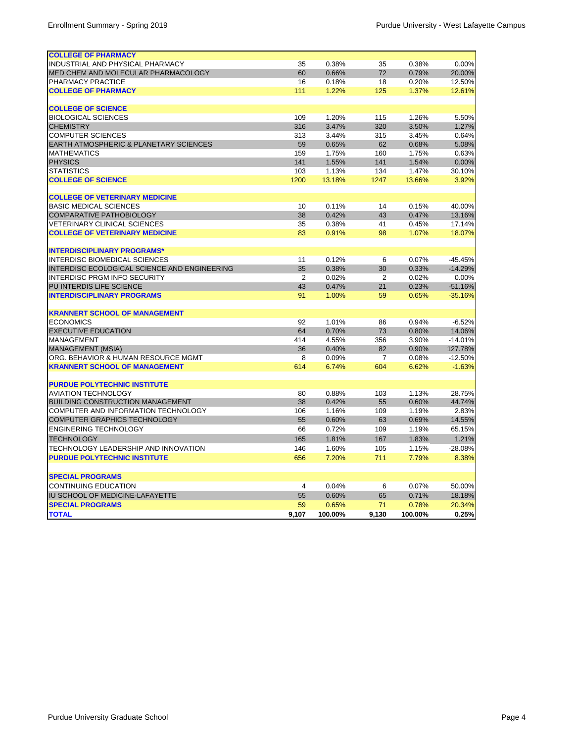| <b>COLLEGE OF PHARMACY</b>                        |       |         |                |         |           |
|---------------------------------------------------|-------|---------|----------------|---------|-----------|
| INDUSTRIAL AND PHYSICAL PHARMACY                  | 35    | 0.38%   | 35             | 0.38%   | 0.00%     |
| <b>MED CHEM AND MOLECULAR PHARMACOLOGY</b>        | 60    | 0.66%   | 72             | 0.79%   | 20.00%    |
| PHARMACY PRACTICE                                 | 16    | 0.18%   | 18             | 0.20%   | 12.50%    |
| <b>COLLEGE OF PHARMACY</b>                        | 111   | 1.22%   | 125            | 1.37%   | 12.61%    |
|                                                   |       |         |                |         |           |
| <b>COLLEGE OF SCIENCE</b>                         |       |         |                |         |           |
| <b>BIOLOGICAL SCIENCES</b>                        | 109   | 1.20%   | 115            | 1.26%   | 5.50%     |
| <b>CHEMISTRY</b>                                  | 316   | 3.47%   | 320            | 3.50%   | 1.27%     |
| <b>COMPUTER SCIENCES</b>                          | 313   | 3.44%   | 315            | 3.45%   | 0.64%     |
| <b>EARTH ATMOSPHERIC &amp; PLANETARY SCIENCES</b> | 59    | 0.65%   | 62             | 0.68%   | 5.08%     |
| <b>MATHEMATICS</b>                                | 159   | 1.75%   | 160            | 1.75%   | 0.63%     |
| <b>PHYSICS</b>                                    | 141   | 1.55%   | 141            | 1.54%   | 0.00%     |
| <b>STATISTICS</b>                                 | 103   | 1.13%   | 134            | 1.47%   | 30.10%    |
| <b>COLLEGE OF SCIENCE</b>                         | 1200  | 13.18%  | 1247           | 13.66%  | 3.92%     |
|                                                   |       |         |                |         |           |
| <b>COLLEGE OF VETERINARY MEDICINE</b>             |       |         |                |         |           |
| <b>BASIC MEDICAL SCIENCES</b>                     | 10    | 0.11%   | 14             | 0.15%   | 40.00%    |
| <b>COMPARATIVE PATHOBIOLOGY</b>                   | 38    | 0.42%   | 43             | 0.47%   | 13.16%    |
| <b>VETERINARY CLINICAL SCIENCES</b>               | 35    | 0.38%   | 41             | 0.45%   | 17.14%    |
| <b>COLLEGE OF VETERINARY MEDICINE</b>             | 83    | 0.91%   | 98             | 1.07%   | 18.07%    |
|                                                   |       |         |                |         |           |
| <b>INTERDISCIPLINARY PROGRAMS*</b>                |       |         |                |         |           |
| INTERDISC BIOMEDICAL SCIENCES                     | 11    | 0.12%   | 6              | 0.07%   | $-45.45%$ |
| INTERDISC ECOLOGICAL SCIENCE AND ENGINEERING      | 35    | 0.38%   | 30             | 0.33%   | $-14.29%$ |
| INTERDISC PRGM INFO SECURITY                      | 2     | 0.02%   | $\overline{2}$ | 0.02%   | 0.00%     |
| PU INTERDIS LIFE SCIENCE                          | 43    | 0.47%   | 21             | 0.23%   | $-51.16%$ |
| <b>INTERDISCIPLINARY PROGRAMS</b>                 | 91    | 1.00%   | 59             | 0.65%   | $-35.16%$ |
|                                                   |       |         |                |         |           |
| <b>KRANNERT SCHOOL OF MANAGEMENT</b>              |       |         |                |         |           |
| <b>ECONOMICS</b>                                  | 92    | 1.01%   | 86             | 0.94%   | $-6.52%$  |
| <b>EXECUTIVE EDUCATION</b>                        | 64    | 0.70%   | 73             | 0.80%   | 14.06%    |
| <b>MANAGEMENT</b>                                 | 414   | 4.55%   | 356            | 3.90%   | $-14.01%$ |
| MANAGEMENT (MSIA)                                 | 36    | 0.40%   | 82             | 0.90%   | 127.78%   |
| ORG. BEHAVIOR & HUMAN RESOURCE MGMT               | 8     | 0.09%   | $\overline{7}$ | 0.08%   | $-12.50%$ |
| <b>KRANNERT SCHOOL OF MANAGEMENT</b>              | 614   | 6.74%   | 604            | 6.62%   | $-1.63%$  |
|                                                   |       |         |                |         |           |
| <b>PURDUE POLYTECHNIC INSTITUTE</b>               |       |         |                |         |           |
| <b>AVIATION TECHNOLOGY</b>                        | 80    | 0.88%   | 103            | 1.13%   | 28.75%    |
| <b>BUILDING CONSTRUCTION MANAGEMENT</b>           | 38    | 0.42%   | 55             | 0.60%   | 44.74%    |
| COMPUTER AND INFORMATION TECHNOLOGY               | 106   | 1.16%   | 109            | 1.19%   | 2.83%     |
| COMPUTER GRAPHICS TECHNOLOGY                      | 55    | 0.60%   | 63             | 0.69%   | 14.55%    |
| <b>ENGINERING TECHNOLOGY</b>                      | 66    | 0.72%   | 109            | 1.19%   | 65.15%    |
| <b>TECHNOLOGY</b>                                 | 165   | 1.81%   | 167            | 1.83%   | 1.21%     |
| TECHNOLOGY LEADERSHIP AND INNOVATION              | 146   | 1.60%   | 105            | 1.15%   | -28.08%   |
| <b>PURDUE POLYTECHNIC INSTITUTE</b>               | 656   | 7.20%   | 711            | 7.79%   | 8.38%     |
|                                                   |       |         |                |         |           |
|                                                   |       |         |                |         |           |
| <b>SPECIAL PROGRAMS</b>                           |       |         |                |         |           |
| <b>CONTINUING EDUCATION</b>                       | 4     | 0.04%   | 6              | 0.07%   | 50.00%    |
| <b>IU SCHOOL OF MEDICINE-LAFAYETTE</b>            | 55    | 0.60%   | 65             | 0.71%   | 18.18%    |
| <b>SPECIAL PROGRAMS</b>                           | 59    | 0.65%   | 71             | 0.78%   | 20.34%    |
| <b>TOTAL</b>                                      | 9,107 | 100.00% | 9,130          | 100.00% | 0.25%     |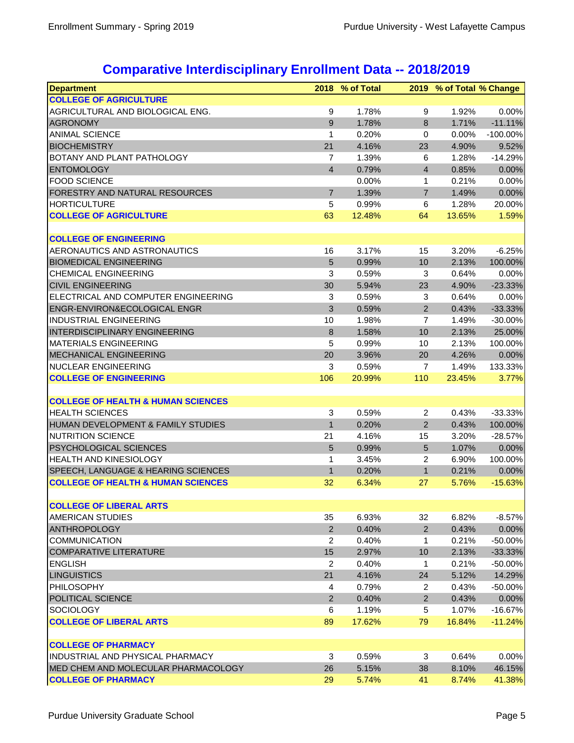## **Comparative Interdisciplinary Enrollment Data -- 2018/2019**

| <b>Department</b>                             | 2018                    | % of Total |                  | 2019 % of Total % Change |             |
|-----------------------------------------------|-------------------------|------------|------------------|--------------------------|-------------|
| <b>COLLEGE OF AGRICULTURE</b>                 |                         |            |                  |                          |             |
| AGRICULTURAL AND BIOLOGICAL ENG.              | 9                       | 1.78%      | 9                | 1.92%                    | 0.00%       |
| <b>AGRONOMY</b>                               | 9                       | 1.78%      | 8                | 1.71%                    | $-11.11%$   |
| <b>ANIMAL SCIENCE</b>                         | 1                       | 0.20%      | $\mathbf 0$      | 0.00%                    | $-100.00\%$ |
| <b>BIOCHEMISTRY</b>                           | 21                      | 4.16%      | 23               | 4.90%                    | 9.52%       |
| BOTANY AND PLANT PATHOLOGY                    | 7                       | 1.39%      | 6                | 1.28%                    | $-14.29%$   |
| <b>ENTOMOLOGY</b>                             | $\overline{\mathbf{4}}$ | 0.79%      | $\overline{4}$   | 0.85%                    | 0.00%       |
| <b>FOOD SCIENCE</b>                           |                         | 0.00%      | $\mathbf{1}$     | 0.21%                    | 0.00%       |
| FORESTRY AND NATURAL RESOURCES                | $\overline{7}$          | 1.39%      | $\overline{7}$   | 1.49%                    | 0.00%       |
| <b>HORTICULTURE</b>                           | 5                       | 0.99%      | 6                | 1.28%                    | 20.00%      |
| <b>COLLEGE OF AGRICULTURE</b>                 | 63                      | 12.48%     | 64               | 13.65%                   | 1.59%       |
|                                               |                         |            |                  |                          |             |
| <b>COLLEGE OF ENGINEERING</b>                 |                         |            |                  |                          |             |
| AERONAUTICS AND ASTRONAUTICS                  | 16                      | 3.17%      | 15               | 3.20%                    | $-6.25%$    |
| <b>BIOMEDICAL ENGINEERING</b>                 | 5                       | 0.99%      | 10               | 2.13%                    | 100.00%     |
| <b>CHEMICAL ENGINEERING</b>                   | 3                       | 0.59%      | 3                | 0.64%                    | 0.00%       |
| <b>CIVIL ENGINEERING</b>                      | 30                      | 5.94%      | 23               | 4.90%                    | $-23.33%$   |
| ELECTRICAL AND COMPUTER ENGINEERING           | 3                       | 0.59%      | 3                | 0.64%                    | 0.00%       |
| ENGR-ENVIRON&ECOLOGICAL ENGR                  | 3                       | 0.59%      | $\overline{2}$   | 0.43%                    | $-33.33%$   |
| INDUSTRIAL ENGINEERING                        | 10                      | 1.98%      | 7                | 1.49%                    | $-30.00%$   |
| <b>INTERDISCIPLINARY ENGINEERING</b>          | 8                       | 1.58%      | 10               | 2.13%                    | 25.00%      |
| <b>MATERIALS ENGINEERING</b>                  | 5                       | 0.99%      | 10               | 2.13%                    | 100.00%     |
| <b>MECHANICAL ENGINEERING</b>                 | 20                      | 3.96%      | 20               | 4.26%                    | 0.00%       |
| <b>NUCLEAR ENGINEERING</b>                    | 3                       | 0.59%      | $\overline{7}$   | 1.49%                    | 133.33%     |
| <b>COLLEGE OF ENGINEERING</b>                 | 106                     | 20.99%     | 110              | 23.45%                   | 3.77%       |
|                                               |                         |            |                  |                          |             |
| <b>COLLEGE OF HEALTH &amp; HUMAN SCIENCES</b> |                         |            |                  |                          |             |
| <b>HEALTH SCIENCES</b>                        | 3                       | 0.59%      | $\boldsymbol{2}$ | 0.43%                    | $-33.33%$   |
| HUMAN DEVELOPMENT & FAMILY STUDIES            | $\mathbf{1}$            | 0.20%      | $\overline{2}$   | 0.43%                    | 100.00%     |
| <b>NUTRITION SCIENCE</b>                      | 21                      | 4.16%      | 15               | 3.20%                    | $-28.57%$   |
| <b>PSYCHOLOGICAL SCIENCES</b>                 | 5                       | 0.99%      | $\overline{5}$   | 1.07%                    | 0.00%       |
| <b>HEALTH AND KINESIOLOGY</b>                 | 1                       | 3.45%      | $\overline{c}$   | 6.90%                    | 100.00%     |
| SPEECH, LANGUAGE & HEARING SCIENCES           | $\mathbf{1}$            | 0.20%      | $\mathbf{1}$     | 0.21%                    | 0.00%       |
| <b>COLLEGE OF HEALTH &amp; HUMAN SCIENCES</b> | 32                      | 6.34%      | 27               | 5.76%                    | $-15.63%$   |
|                                               |                         |            |                  |                          |             |
| <b>COLLEGE OF LIBERAL ARTS</b>                |                         |            |                  |                          |             |
| <b>AMERICAN STUDIES</b>                       | 35                      | 6.93%      | 32               | 6.82%                    | $-8.57%$    |
| <b>ANTHROPOLOGY</b>                           | $\overline{2}$          | 0.40%      | $\overline{2}$   | 0.43%                    | 0.00%       |
| <b>COMMUNICATION</b>                          | $\overline{c}$          | 0.40%      | 1                | 0.21%                    | $-50.00%$   |
| <b>COMPARATIVE LITERATURE</b>                 | 15                      | 2.97%      | 10               | 2.13%                    | $-33.33%$   |
| <b>ENGLISH</b>                                | 2                       | 0.40%      | 1                | 0.21%                    | $-50.00%$   |
| <b>LINGUISTICS</b>                            | 21                      | 4.16%      | 24               | 5.12%                    | 14.29%      |
| <b>PHILOSOPHY</b>                             | 4                       | 0.79%      | 2                | 0.43%                    | $-50.00%$   |
| POLITICAL SCIENCE                             | $\overline{2}$          | 0.40%      | $\overline{2}$   | 0.43%                    | 0.00%       |
| <b>SOCIOLOGY</b>                              | 6                       | 1.19%      | 5                | 1.07%                    | $-16.67%$   |
| <b>COLLEGE OF LIBERAL ARTS</b>                | 89                      | 17.62%     | 79               | 16.84%                   | $-11.24%$   |
|                                               |                         |            |                  |                          |             |
| <b>COLLEGE OF PHARMACY</b>                    |                         |            |                  |                          |             |
| INDUSTRIAL AND PHYSICAL PHARMACY              | 3                       | 0.59%      | 3                | 0.64%                    | 0.00%       |
| MED CHEM AND MOLECULAR PHARMACOLOGY           | 26                      | 5.15%      | 38               | 8.10%                    | 46.15%      |
| <b>COLLEGE OF PHARMACY</b>                    | 29                      | 5.74%      | 41               | 8.74%                    | 41.38%      |